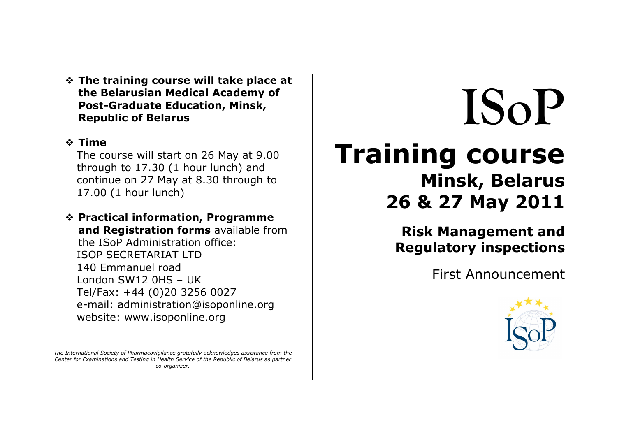**The training course will take place at the Belarusian Medical Academy of Post-Graduate Education, Minsk, Republic of Belarus**

### **Time**

The course will start on 26 May at 9.00 through to 17.30 (1 hour lunch) and continue on 27 May at 8.30 through to 17.00 (1 hour lunch)

 **Practical information, Programme and Registration forms** available from the ISoP Administration office: ISOP SECRETARIAT LTD 140 Emmanuel road London SW12 0HS – UK Tel/Fax: +44 (0)20 3256 0027 e-mail: administration@isoponline.org website: www.isoponline.org

*The International Society of Pharmacovigilance gratefully acknowledges assistance from the Center for Examinations and Testing in Health Service of the Republic of Belarus as partner co-organizer.*

# **ISoP Training course Minsk, Belarus 26 & 27 May 2011**

**Risk Management and Regulatory inspections**

First Announcement